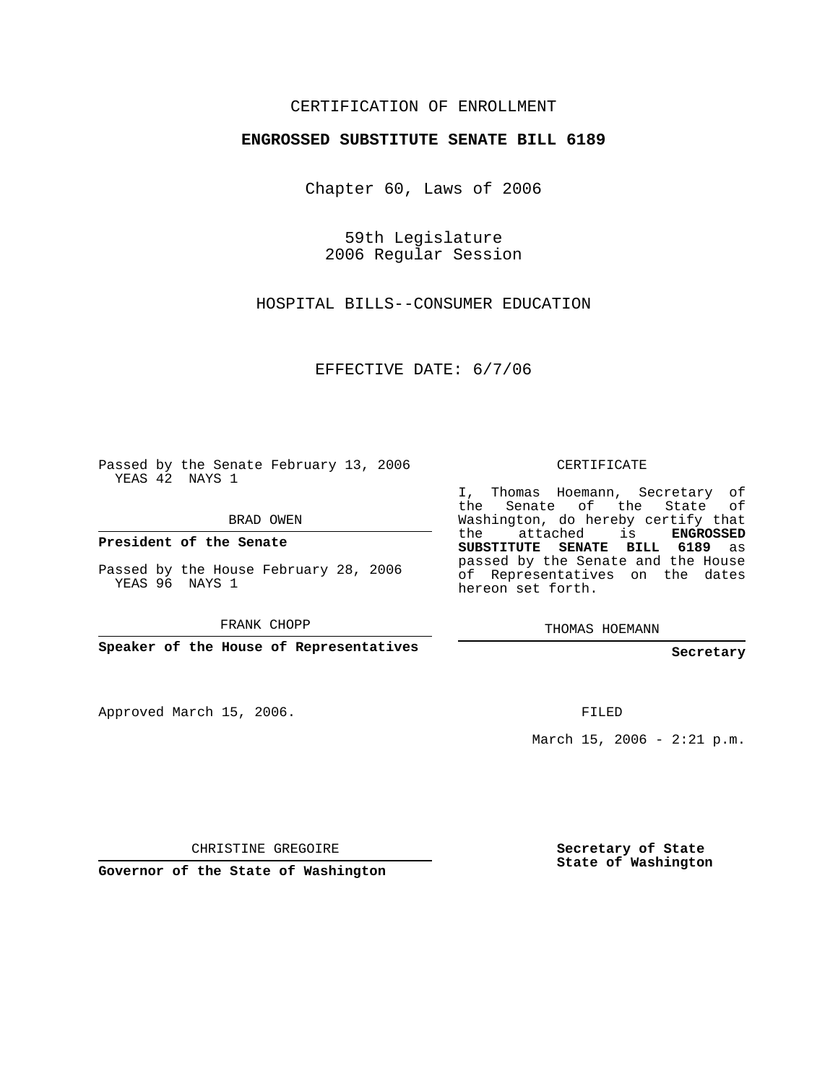## CERTIFICATION OF ENROLLMENT

## **ENGROSSED SUBSTITUTE SENATE BILL 6189**

Chapter 60, Laws of 2006

59th Legislature 2006 Regular Session

HOSPITAL BILLS--CONSUMER EDUCATION

EFFECTIVE DATE: 6/7/06

Passed by the Senate February 13, 2006 YEAS 42 NAYS 1

BRAD OWEN

**President of the Senate**

Passed by the House February 28, 2006 YEAS 96 NAYS 1

FRANK CHOPP

**Speaker of the House of Representatives**

Approved March 15, 2006.

CERTIFICATE

I, Thomas Hoemann, Secretary of the Senate of the State of Washington, do hereby certify that the attached is **ENGROSSED SUBSTITUTE SENATE BILL 6189** as passed by the Senate and the House of Representatives on the dates hereon set forth.

THOMAS HOEMANN

**Secretary**

FILED

March 15, 2006 -  $2:21$  p.m.

CHRISTINE GREGOIRE

**Governor of the State of Washington**

**Secretary of State State of Washington**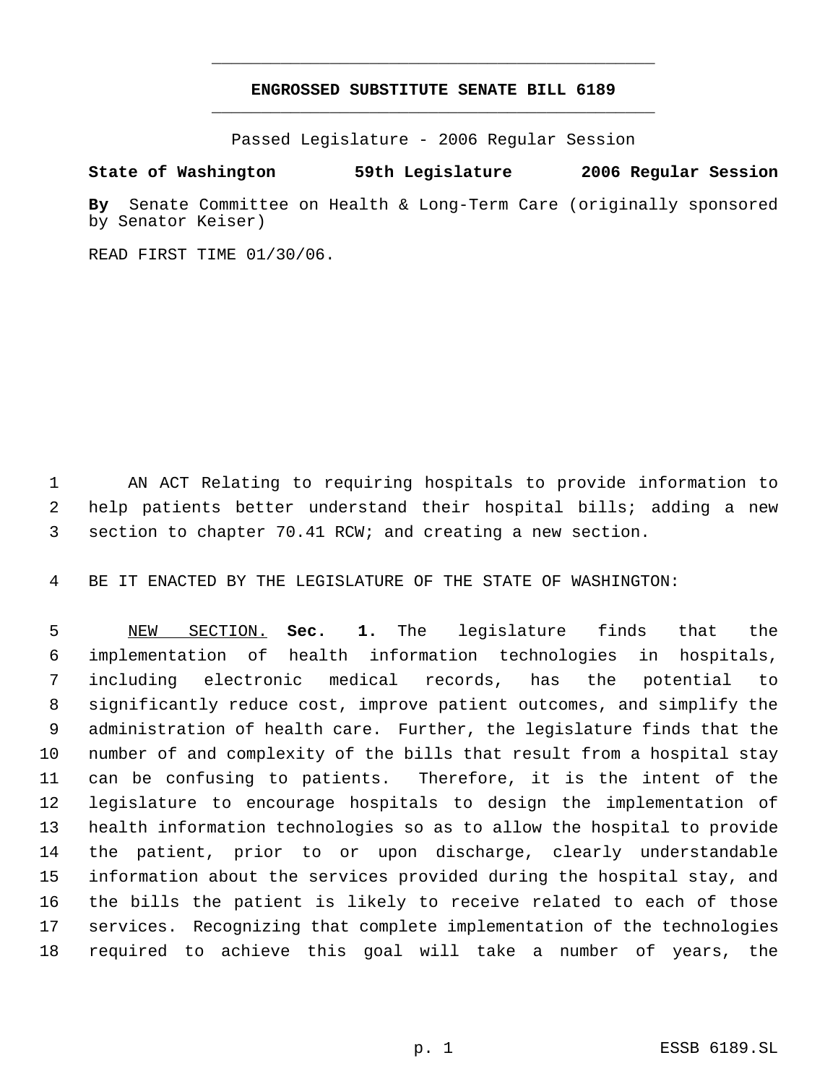## **ENGROSSED SUBSTITUTE SENATE BILL 6189** \_\_\_\_\_\_\_\_\_\_\_\_\_\_\_\_\_\_\_\_\_\_\_\_\_\_\_\_\_\_\_\_\_\_\_\_\_\_\_\_\_\_\_\_\_

\_\_\_\_\_\_\_\_\_\_\_\_\_\_\_\_\_\_\_\_\_\_\_\_\_\_\_\_\_\_\_\_\_\_\_\_\_\_\_\_\_\_\_\_\_

Passed Legislature - 2006 Regular Session

## **State of Washington 59th Legislature 2006 Regular Session**

**By** Senate Committee on Health & Long-Term Care (originally sponsored by Senator Keiser)

READ FIRST TIME 01/30/06.

 AN ACT Relating to requiring hospitals to provide information to help patients better understand their hospital bills; adding a new section to chapter 70.41 RCW; and creating a new section.

BE IT ENACTED BY THE LEGISLATURE OF THE STATE OF WASHINGTON:

 NEW SECTION. **Sec. 1.** The legislature finds that the implementation of health information technologies in hospitals, including electronic medical records, has the potential to significantly reduce cost, improve patient outcomes, and simplify the administration of health care. Further, the legislature finds that the number of and complexity of the bills that result from a hospital stay can be confusing to patients. Therefore, it is the intent of the legislature to encourage hospitals to design the implementation of health information technologies so as to allow the hospital to provide the patient, prior to or upon discharge, clearly understandable information about the services provided during the hospital stay, and the bills the patient is likely to receive related to each of those services. Recognizing that complete implementation of the technologies required to achieve this goal will take a number of years, the